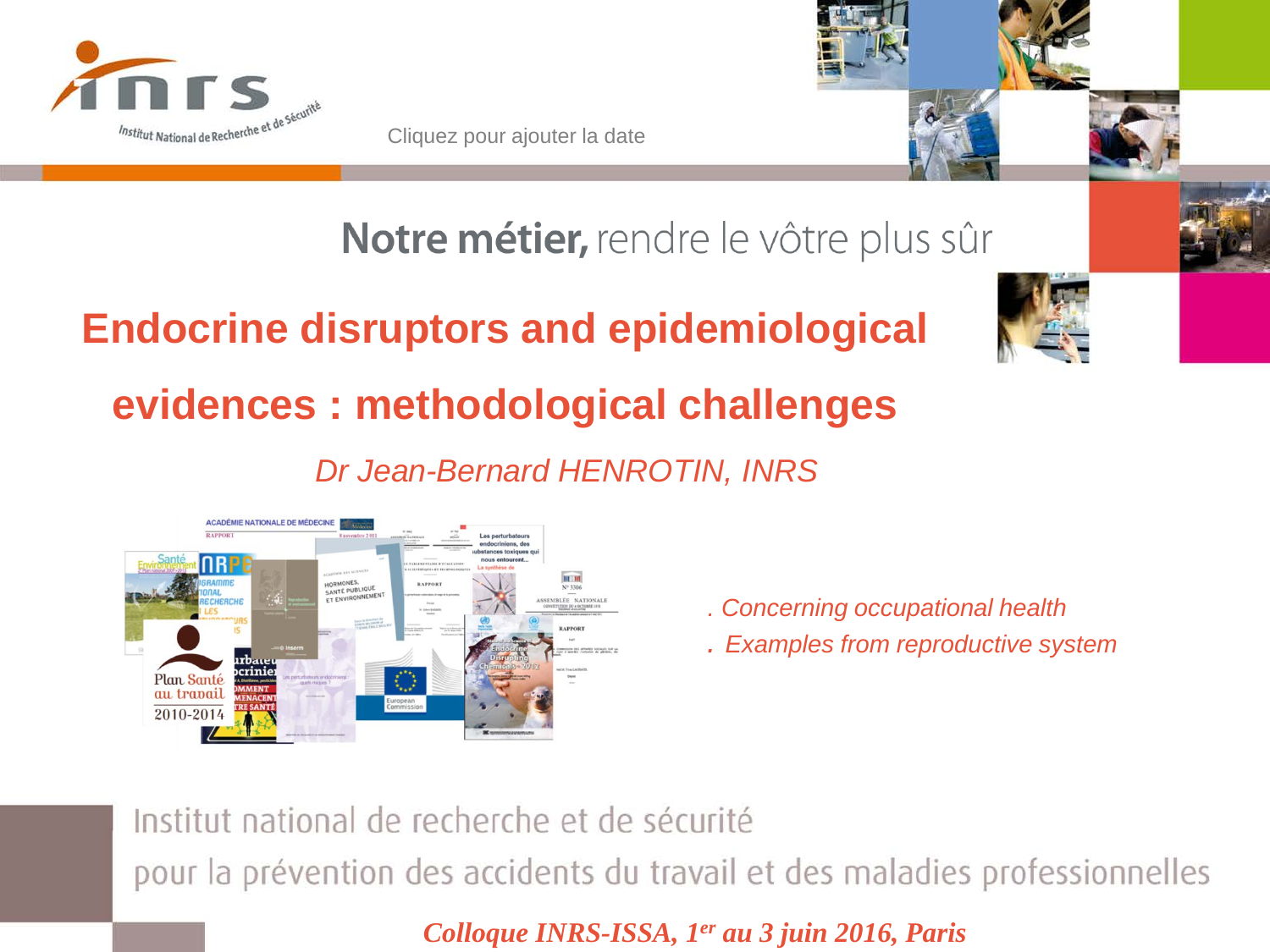

Cliquez pour ajouter la date



Notre métier, rendre le vôtre plus sûr

# **Endocrine disruptors and epidemiological evidences : methodological challenges**

*Dr Jean-Bernard HENROTIN, INRS*



- *. Concerning occupational health*
- *. Examples from reproductive system*

Institut national de recherche et de sécurité pour la prévention des accidents du travail et des maladies professionnelles

*Colloque INRS-ISSA, 1er au 3 juin 2016, Paris*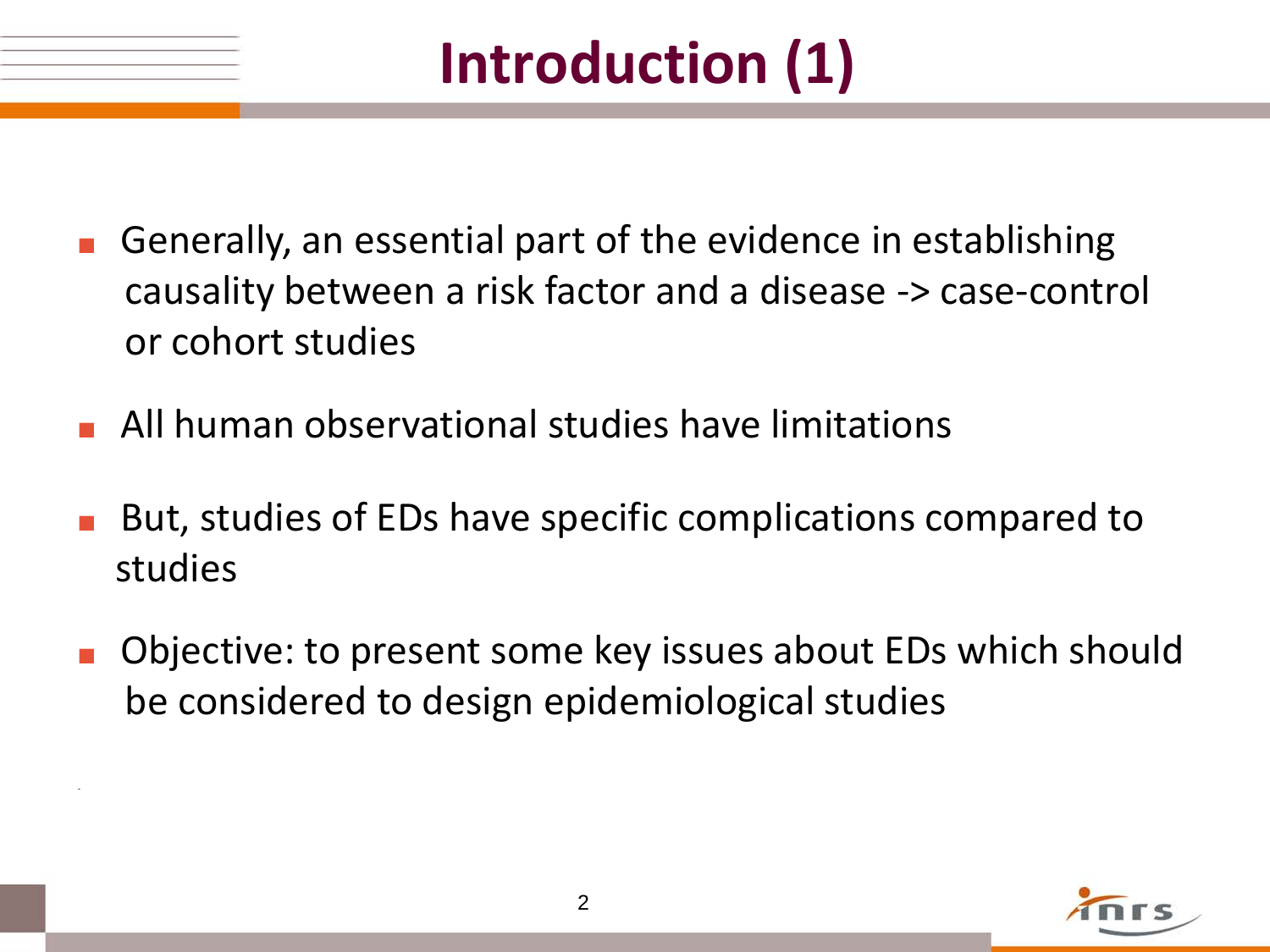# **Introduction (1)**

- **■** Generally, an essential part of the evidence in establishing causality between a risk factor and a disease -> case-control or cohort studies
- **■** All human observational studies have limitations

-

- But, studies of EDs have specific complications compared to studies
- **■** Objective: to present some key issues about EDs which should be considered to design epidemiological studies

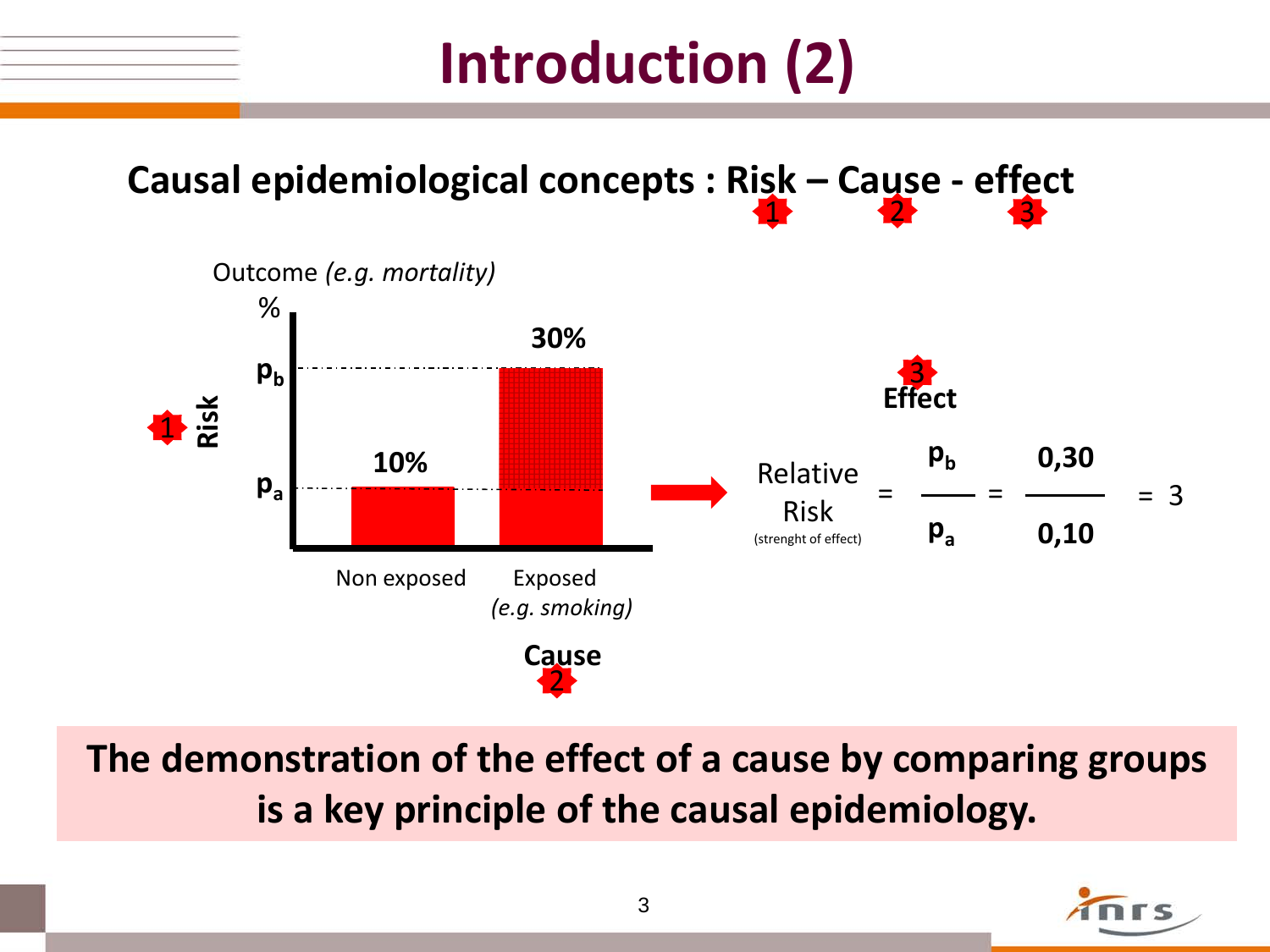# **Introduction (2)**



**The demonstration of the effect of a cause by comparing groups is a key principle of the causal epidemiology.**

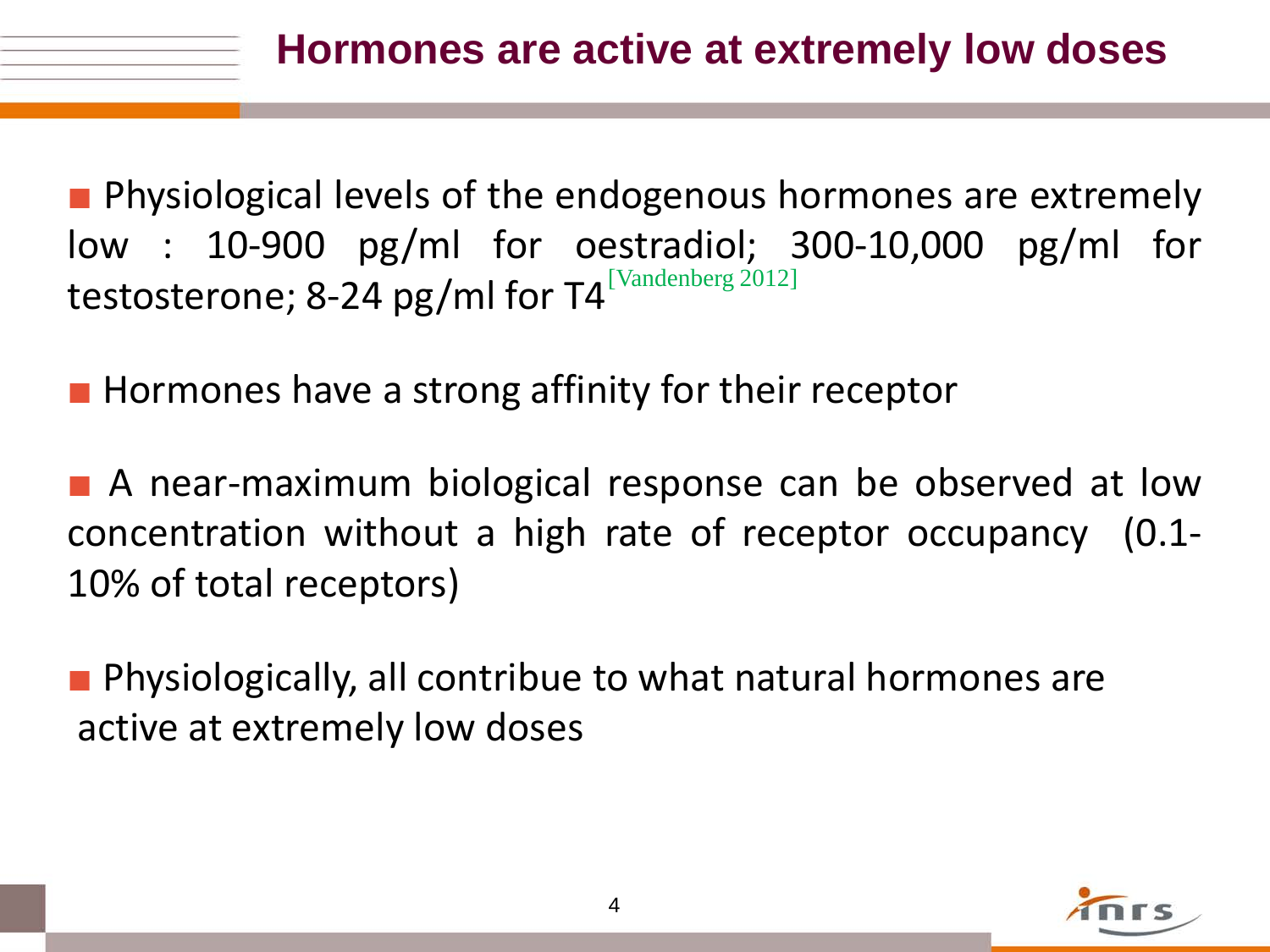■ Physiological levels of the endogenous hormones are extremely low : 10-900 pg/ml for oestradiol; 300-10,000 pg/ml for testosterone; 8-24 pg/ml for T4 $^{\rm [Vandenberg~2012]}$ 

■ Hormones have a strong affinity for their receptor

■ A near-maximum biological response can be observed at low concentration without a high rate of receptor occupancy (0.1- 10% of total receptors)

■ Physiologically, all contribue to what natural hormones are active at extremely low doses

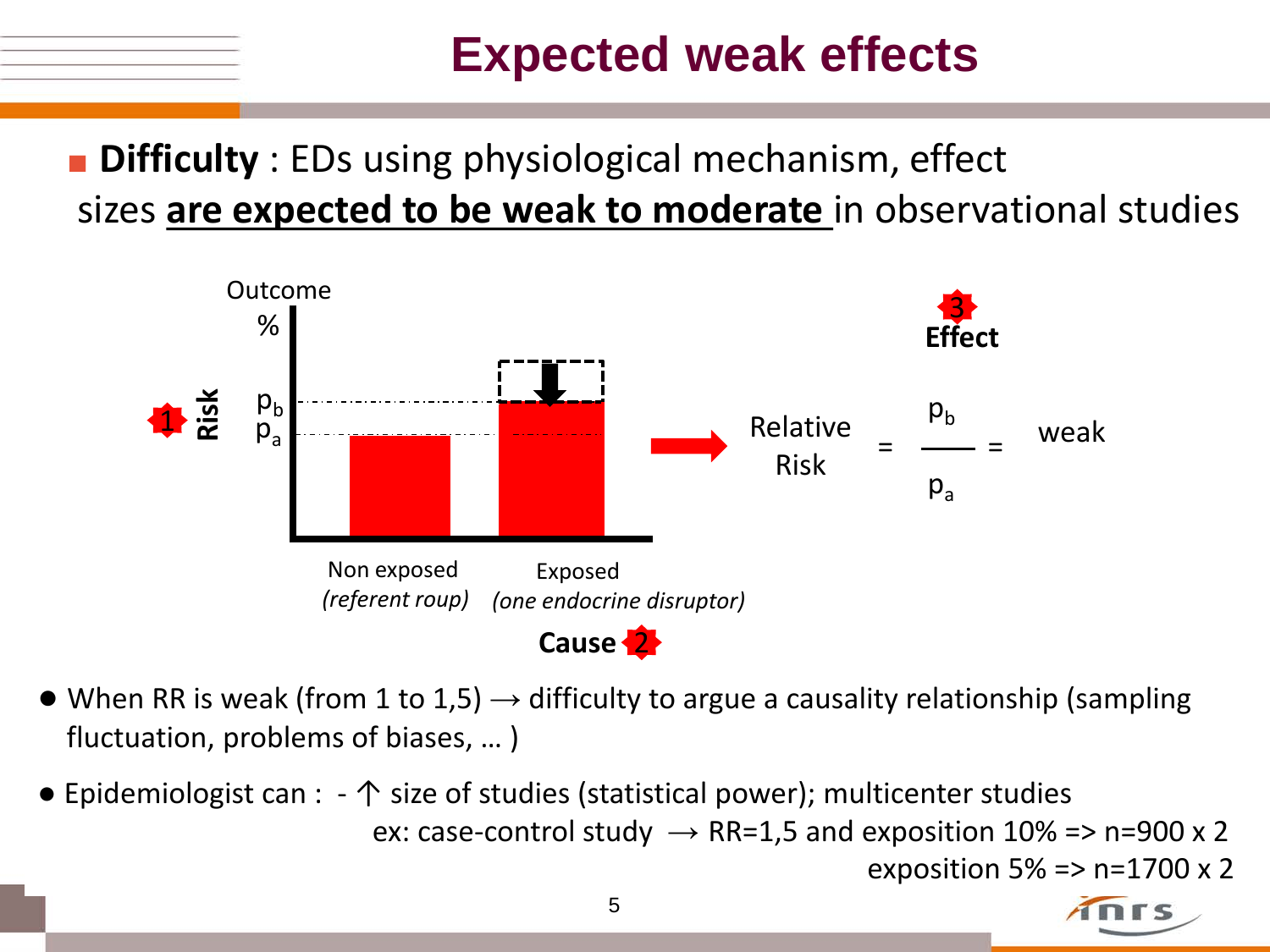## **Expected weak effects**

## ■ **Difficulty** : EDs using physiological mechanism, effect sizes **are expected to be weak to moderate** in observational studies



- When RR is weak (from 1 to 1,5)  $\rightarrow$  difficulty to argue a causality relationship (sampling fluctuation, problems of biases, … )
- Epidemiologist can : ↑ size of studies (statistical power); multicenter studies ex: case-control study  $\rightarrow$  RR=1,5 and exposition 10% => n=900 x 2 exposition 5% =  $>$  n=1700 x 2

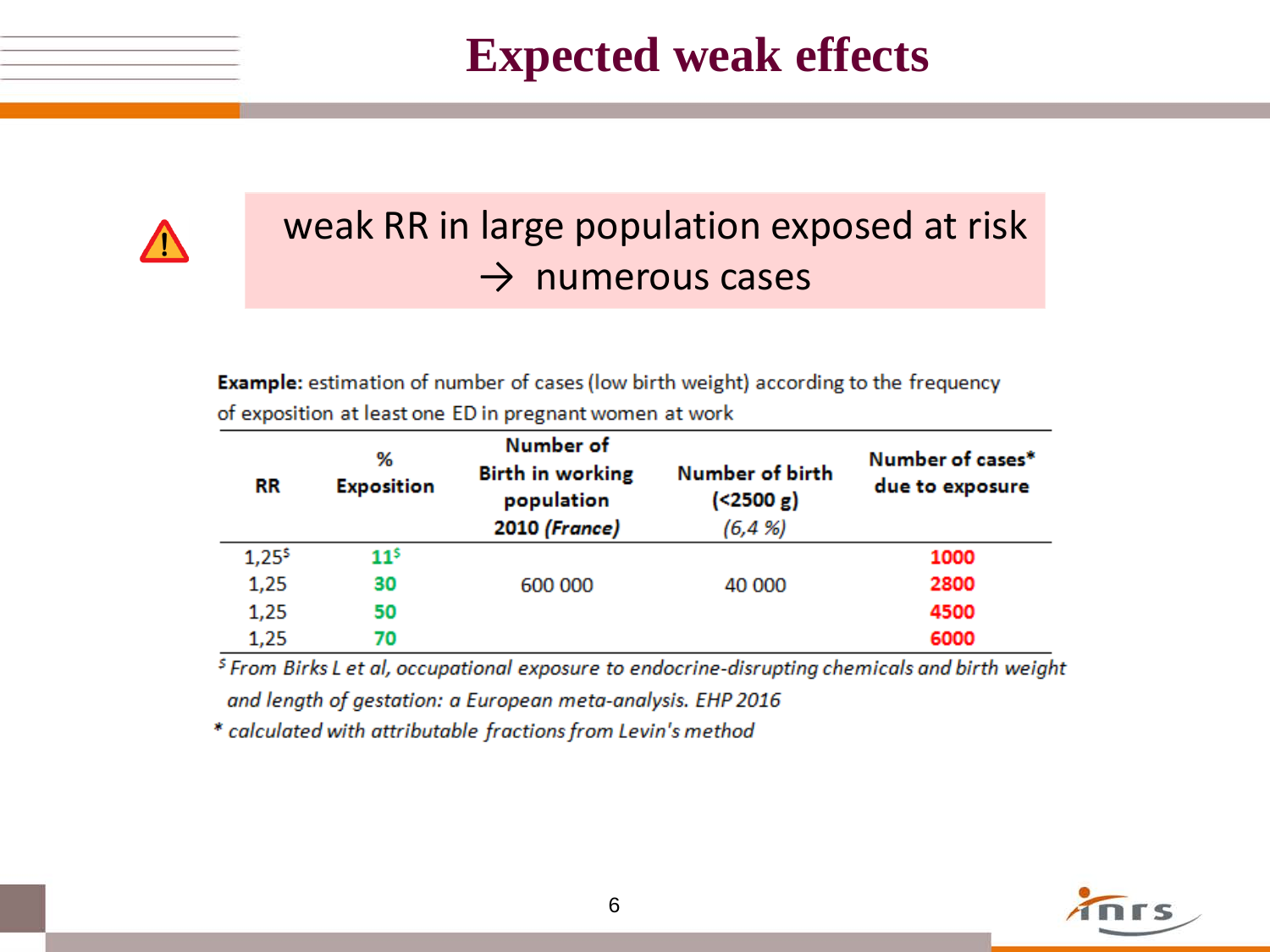**Expected weak effects**



### weak RR in large population exposed at risk  $\rightarrow$  numerous cases

**Example:** estimation of number of cases (low birth weight) according to the frequency of exposition at least one ED in pregnant women at work

| RR       | %<br><b>Exposition</b> | Number of<br><b>Birth in working</b><br>population<br>2010 (France) | Number of birth<br>( < 2500 g)<br>(6, 4, 96) | Number of cases*<br>due to exposure |
|----------|------------------------|---------------------------------------------------------------------|----------------------------------------------|-------------------------------------|
| $1,25^5$ | $11^5$                 |                                                                     |                                              | 1000                                |
| 1,25     | 30                     | 600 000                                                             | 40 000                                       | 2800                                |
| 1,25     | 50                     |                                                                     |                                              | 4500                                |
| 1,25     | 70                     |                                                                     |                                              | 6000                                |

<sup>5</sup> From Birks L et al, occupational exposure to endocrine-disrupting chemicals and birth weight and length of gestation: a European meta-analysis. EHP 2016

\* calculated with attributable fractions from Levin's method

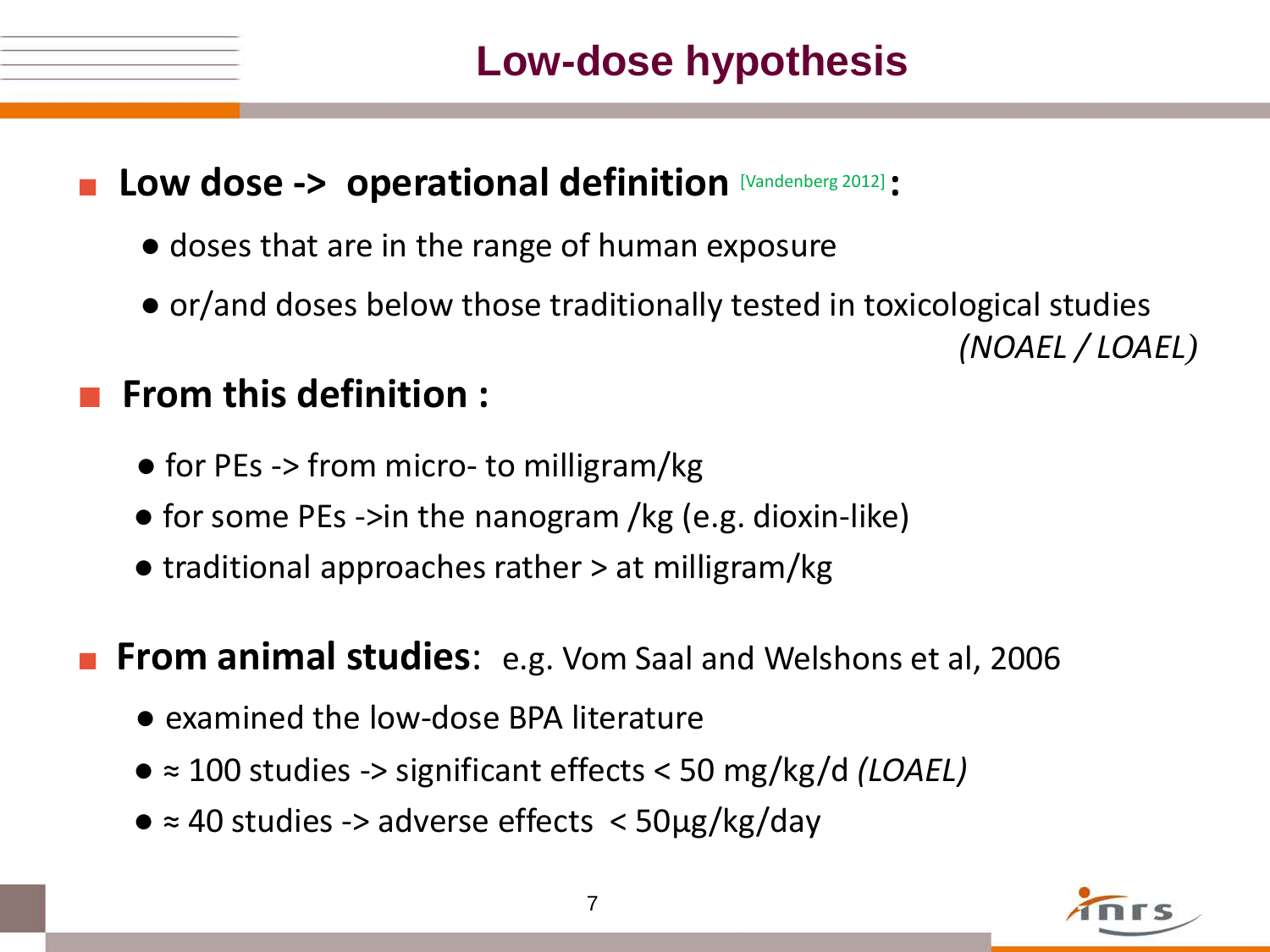#### ■ **Low dose -> operational definition** [Vandenberg 2012] **:**

- doses that are in the range of human exposure
- or/and doses below those traditionally tested in toxicological studies

#### ■ **From this definition :**

- for PEs -> from micro- to milligram/kg
- for some PEs ->in the nanogram /kg (e.g. dioxin-like)
- traditional approaches rather > at milligram/kg

**From animal studies:** e.g. Vom Saal and Welshons et al, 2006

- examined the low-dose BPA literature
- ≈ 100 studies -> significant effects < 50 mg/kg/d *(LOAEL)*
- ≈ 40 studies -> adverse effects < 50µg/kg/day



 *(NOAEL / LOAEL)*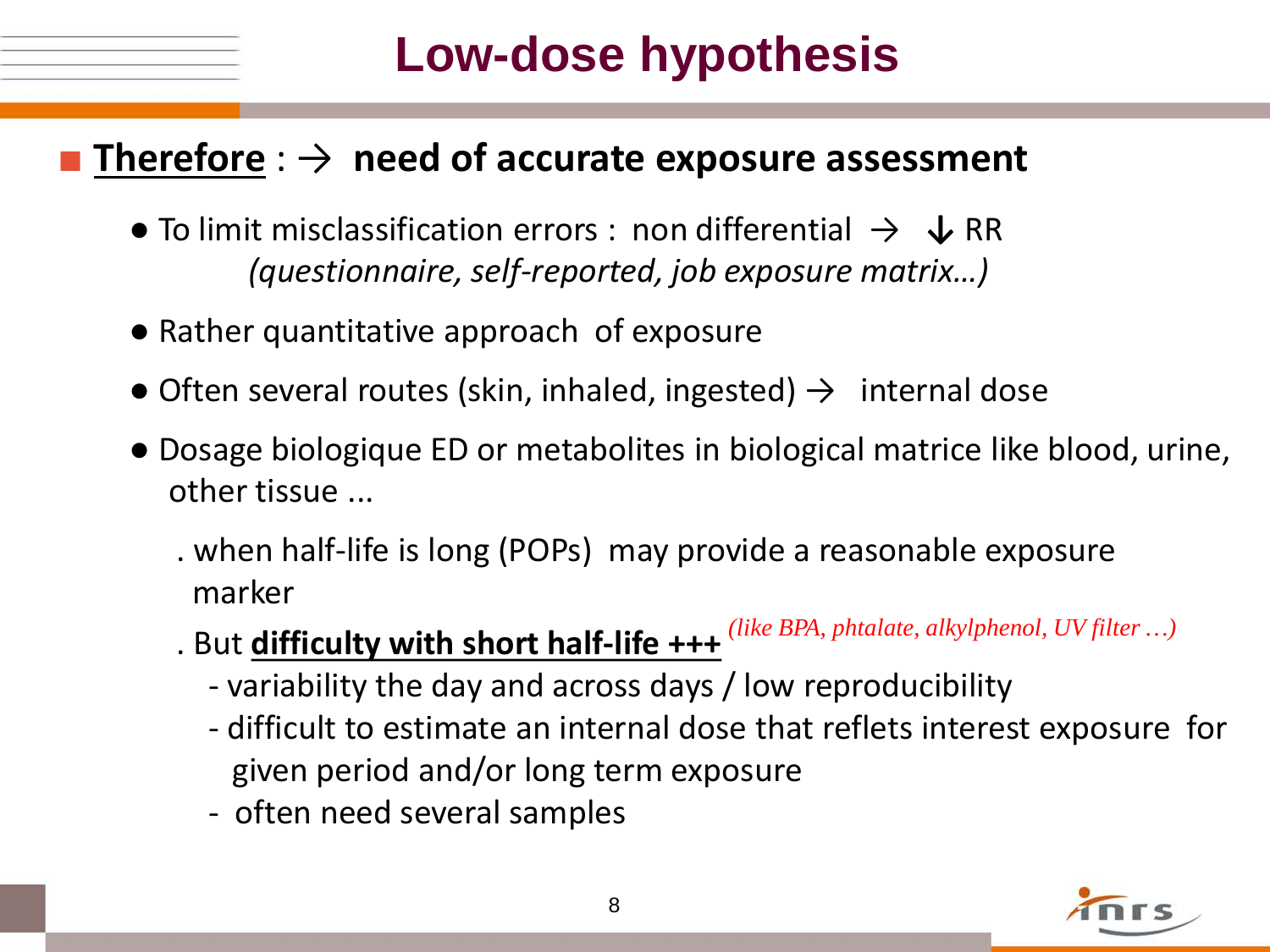# **Low-dose hypothesis**

#### **Therefore** :  $\rightarrow$  **need of accurate exposure assessment**

- To limit misclassification errors : non differential → **↓** RR  *(questionnaire, self-reported, job exposure matrix…)*
- Rather quantitative approach of exposure
- Often several routes (skin, inhaled, ingested)  $\rightarrow$  internal dose
- Dosage biologique ED or metabolites in biological matrice like blood, urine, other tissue ...
	- . when half-life is long (POPs) may provide a reasonable exposure marker
- . But **difficulty with short half-life +++**  *(like BPA, phtalate, alkylphenol, UV filter …)*
	- variability the day and across days / low reproducibility
	- difficult to estimate an internal dose that reflets interest exposure for given period and/or long term exposure
	- often need several samples

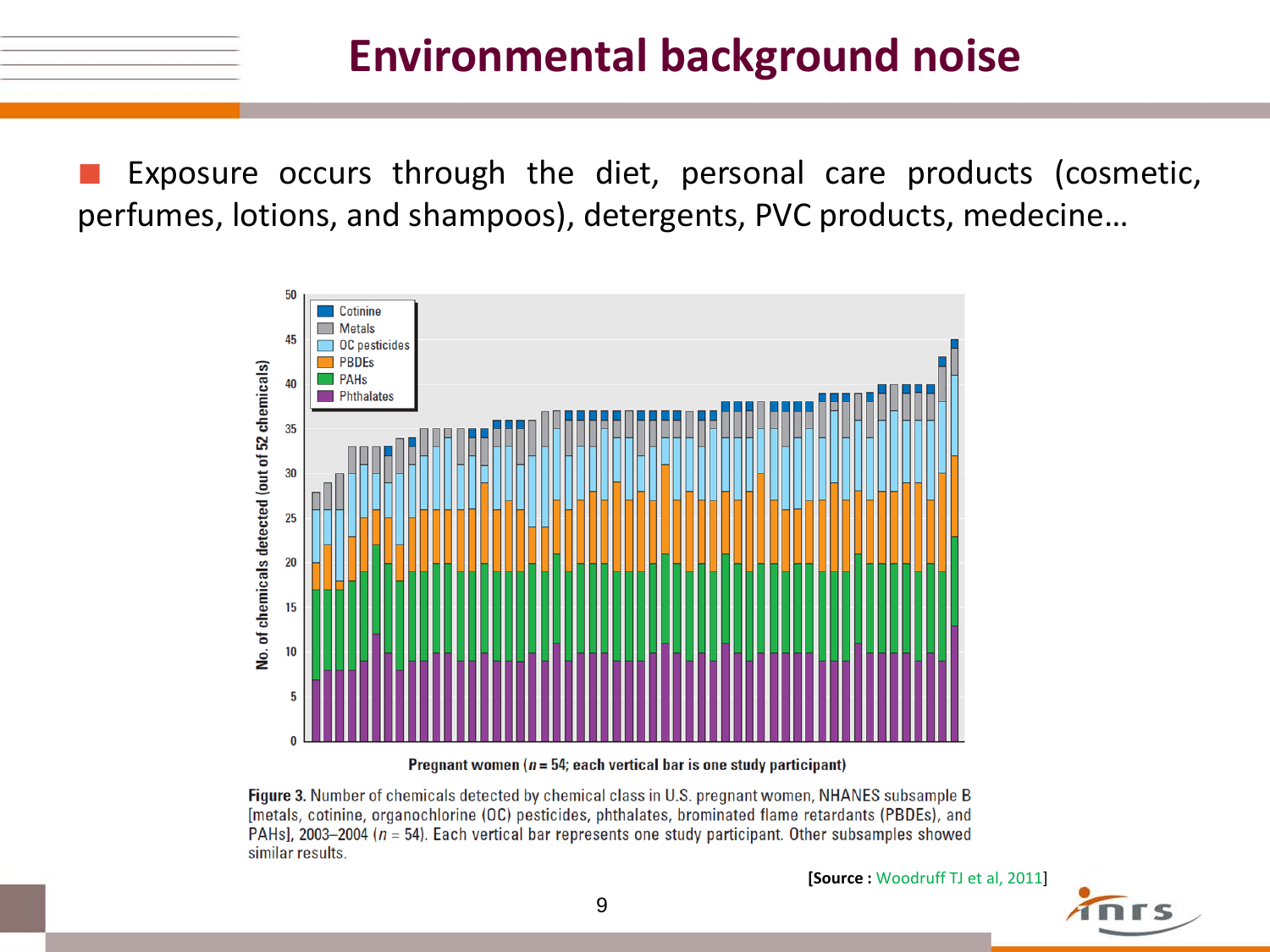Exposure occurs through the diet, personal care products (cosmetic, perfumes, lotions, and shampoos), detergents, PVC products, medecine…



Pregnant women ( $n = 54$ ; each vertical bar is one study participant)

Figure 3. Number of chemicals detected by chemical class in U.S. pregnant women, NHANES subsample B [metals, cotinine, organochlorine (OC) pesticides, phthalates, brominated flame retardants (PBDEs), and PAHs], 2003-2004 ( $n = 54$ ). Each vertical bar represents one study participant. Other subsamples showed similar results.

**[Source :** Woodruff TJ et al, 2011]

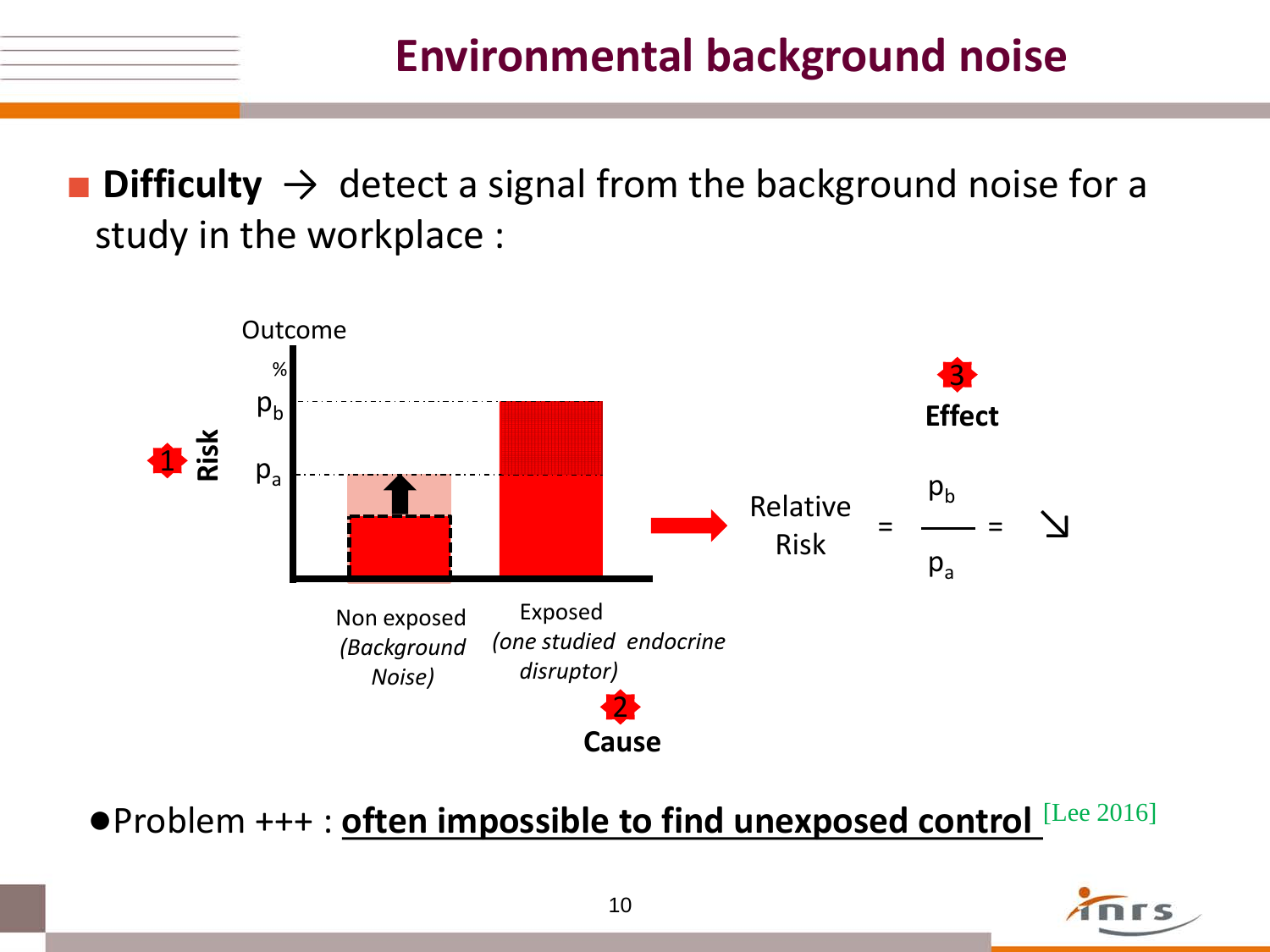**• Difficulty**  $\rightarrow$  detect a signal from the background noise for a study in the workplace :



●Problem +++ : **often impossible to find unexposed control** [Lee 2016]

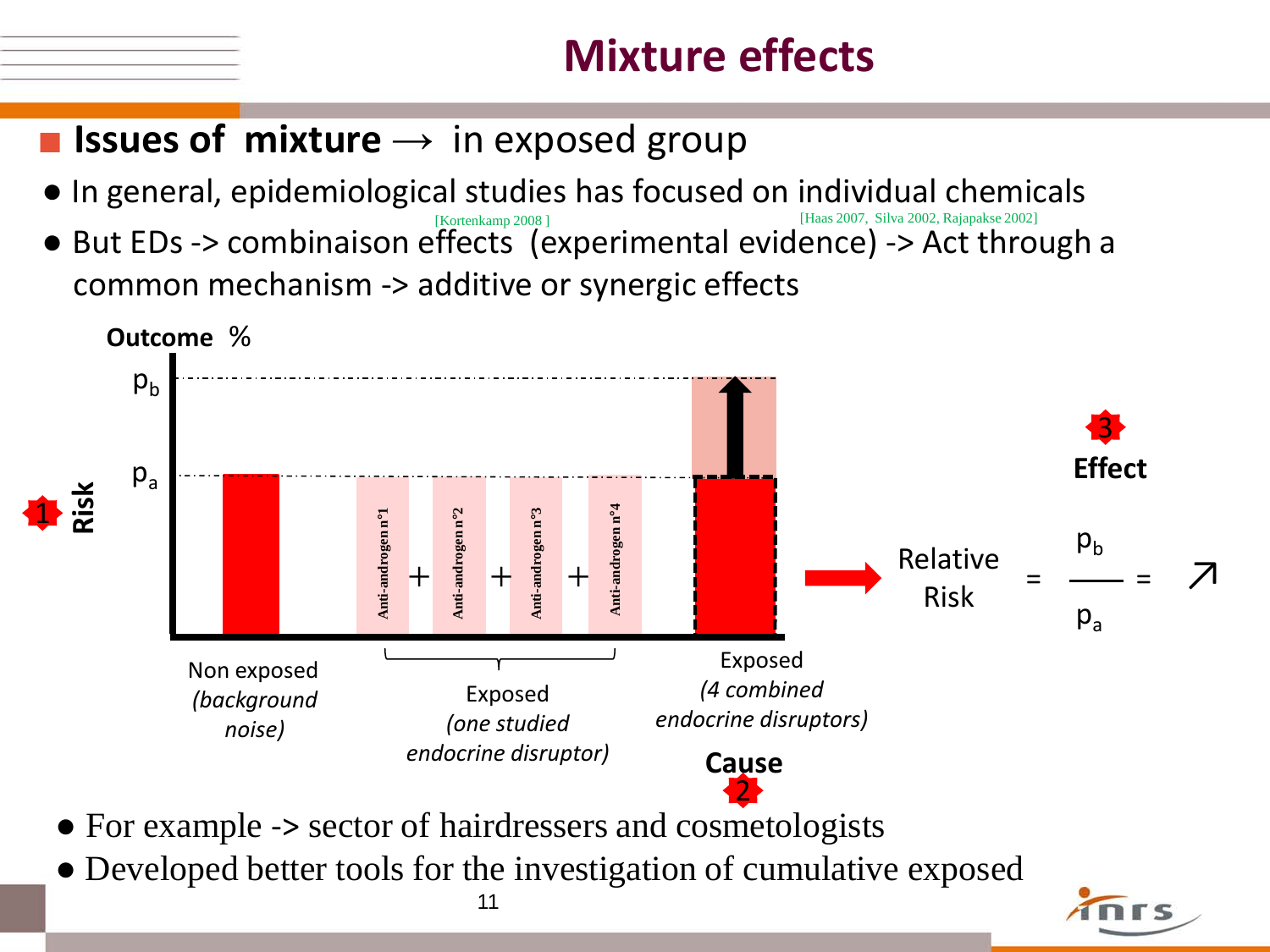## **Mixture effects**

### ■ **Issues of mixture** → in exposed group

- In general, epidemiological studies has focused on individual chemicals
- But EDs -> combinaison effects (experimental evidence) -> Act through a common mechanism -> additive or synergic effects [Haas 2007, Silva 2002, Rajapakse 2002] [Kortenkamp 2008 ]



- For example -> sector of hairdressers and cosmetologists
- 11 • Developed better tools for the investigation of cumulative exposed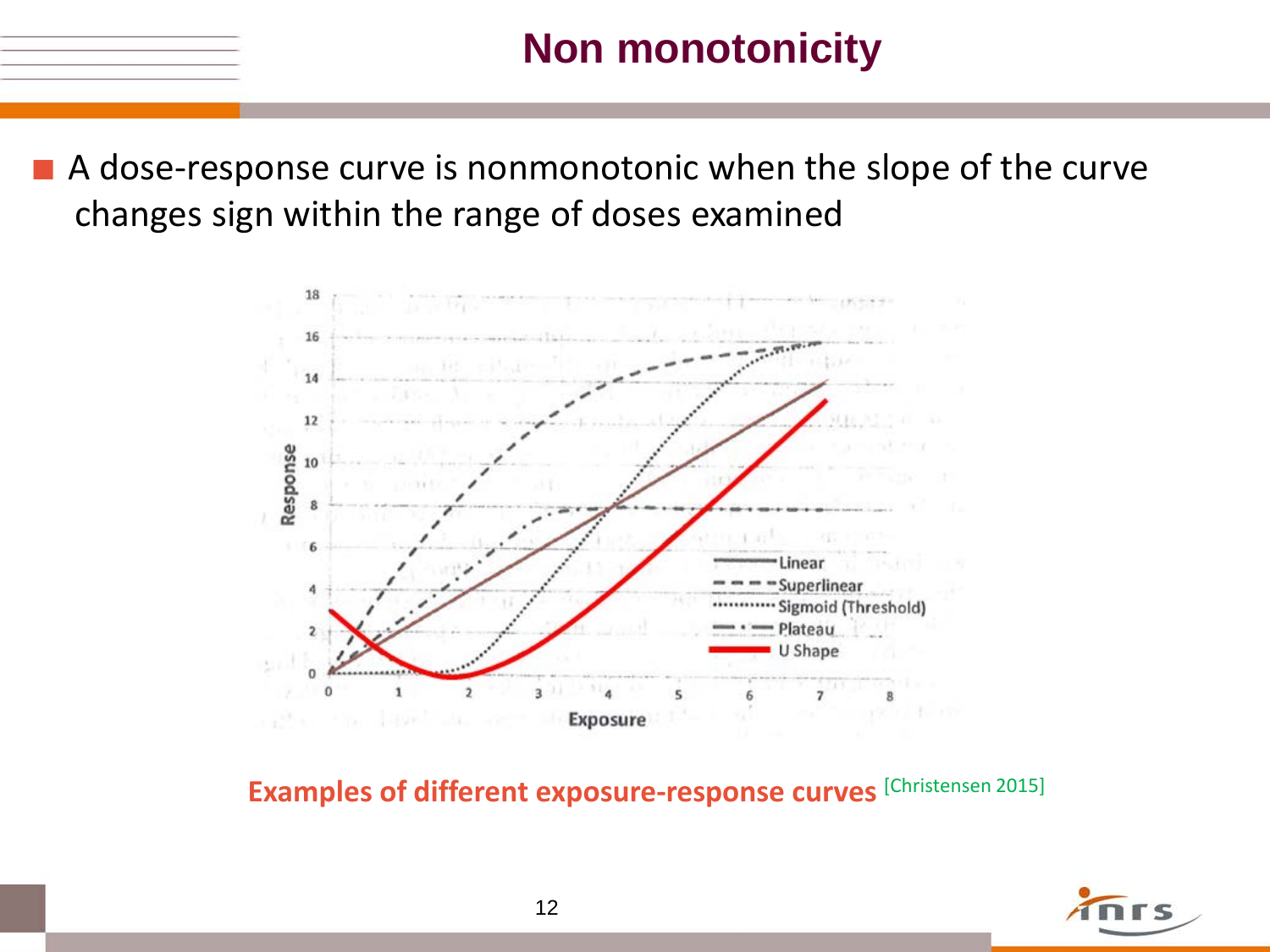## **Non monotonicity**

■ A dose-response curve is nonmonotonic when the slope of the curve changes sign within the range of doses examined



**Examples of different exposure-response curves** [Christensen 2015]

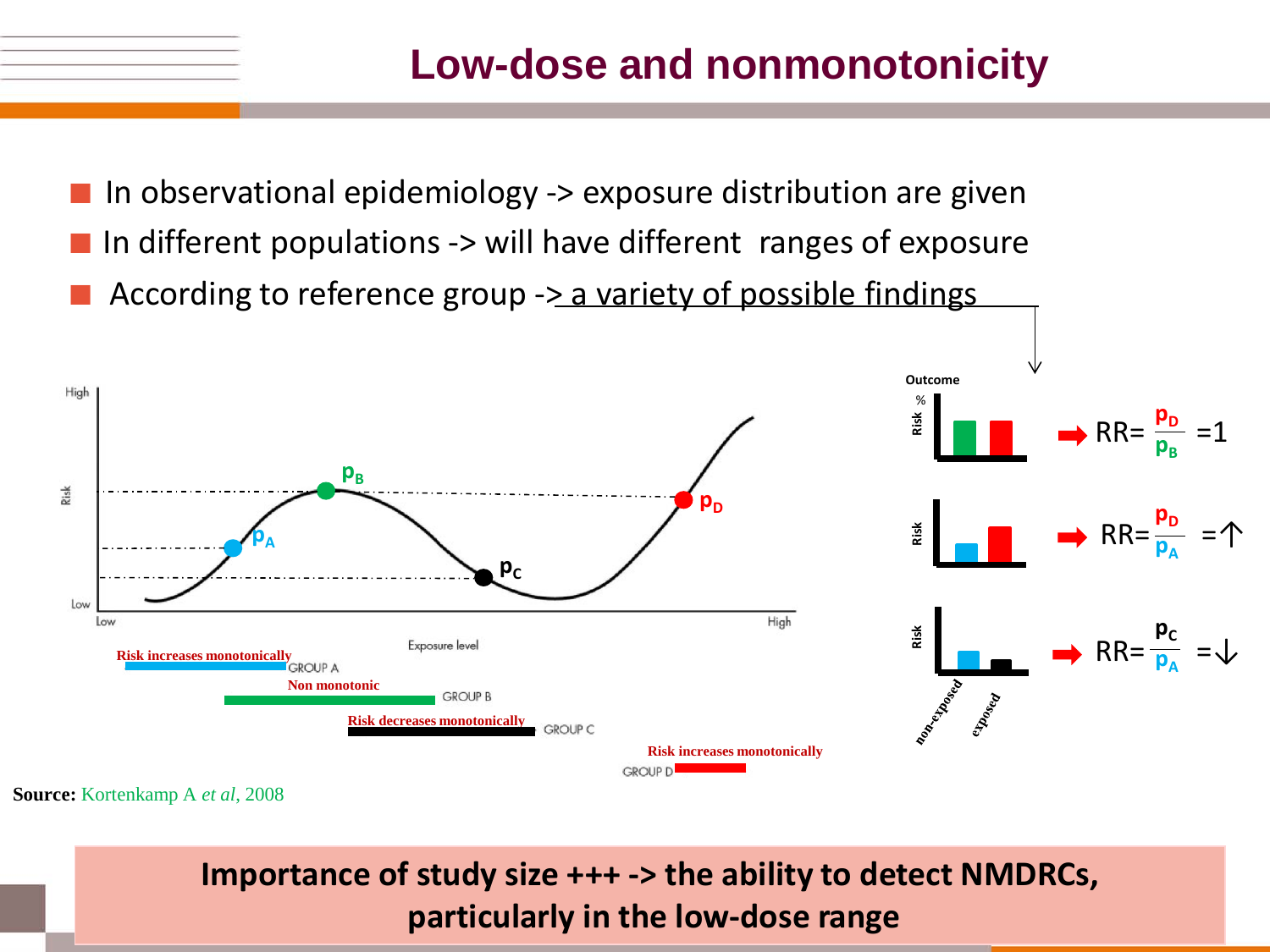## **Low-dose and nonmonotonicity**

■ In observational epidemiology -> exposure distribution are given ■ In different populations -> will have different ranges of exposure According to reference group  $\rightarrow$  a variety of possible findings



**Source:** Kortenkamp A *et al*, 2008

*particularly in the low-dose range particularly in the low-dose range* **Importance of study size +++ -> the ability to detect NMDRCs,**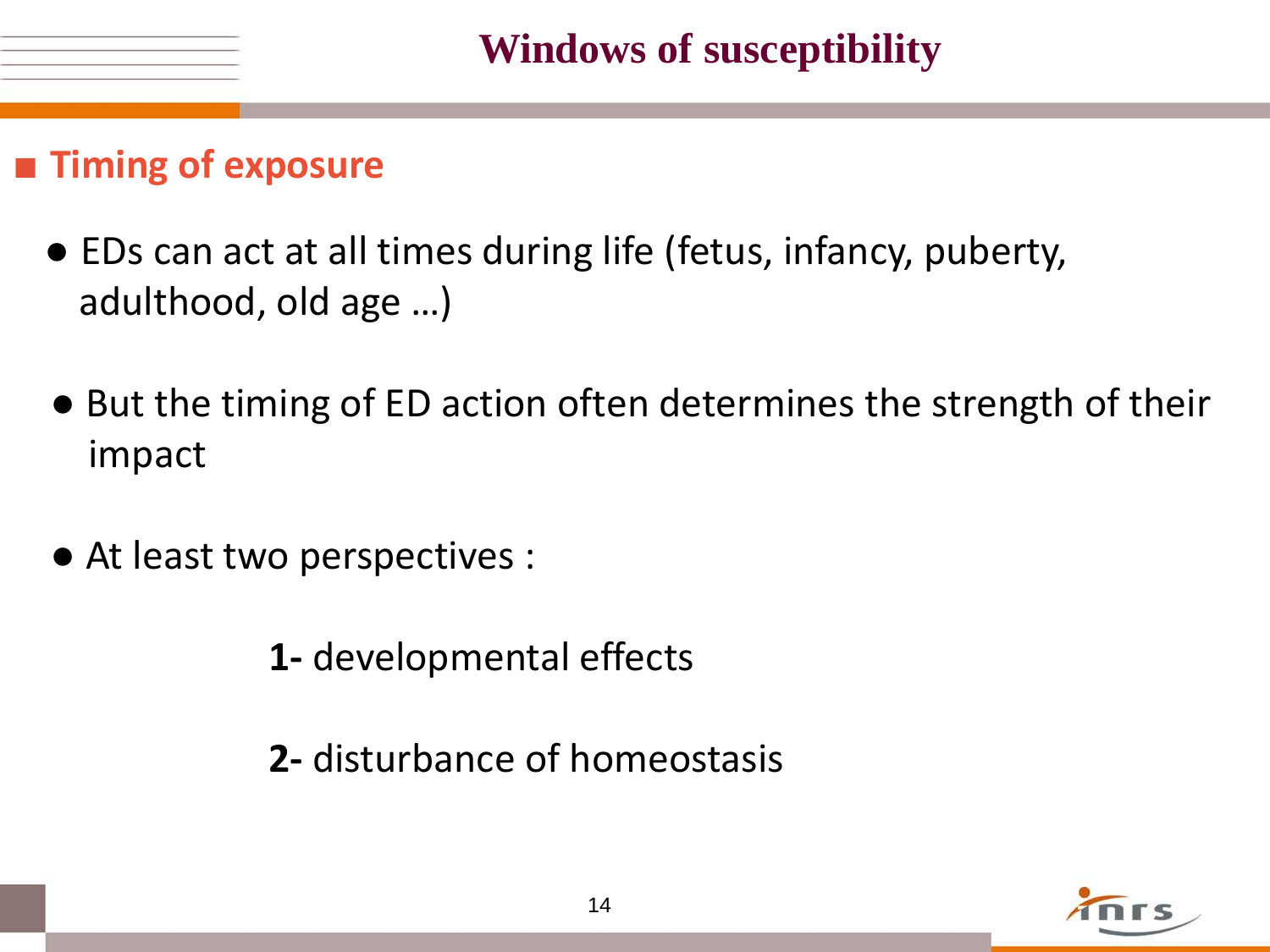#### ■ **Timing of exposure**

- EDs can act at all times during life (fetus, infancy, puberty, adulthood, old age …)
- But the timing of ED action often determines the strength of their impact
- At least two perspectives :
	- **1-** developmental effects
	- **2-** disturbance of homeostasis

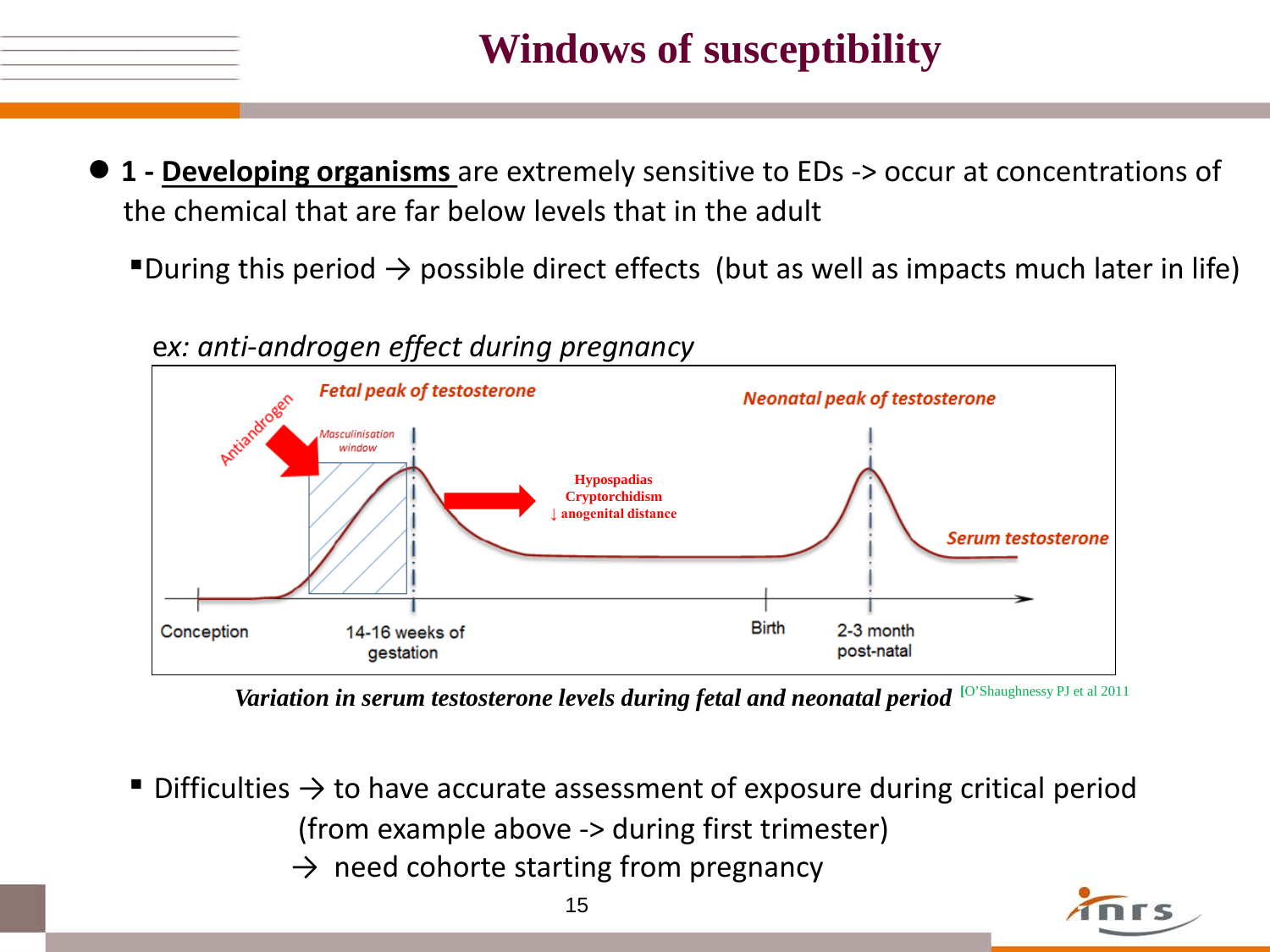## **Windows of susceptibility**

- **1 - Developing organisms** are extremely sensitive to EDs -> occur at concentrations of the chemical that are far below levels that in the adult
	- ■During this period  $\rightarrow$  possible direct effects (but as well as impacts much later in life)



e*x: anti-androgen effect during pregnancy*

*Variation in serum testosterone levels during fetal and neonatal period* [O'Shaughnessy PJ et al 2011

- Difficulties  $\rightarrow$  to have accurate assessment of exposure during critical period (from example above -> during first trimester)
	- $\rightarrow$  need cohorte starting from pregnancy

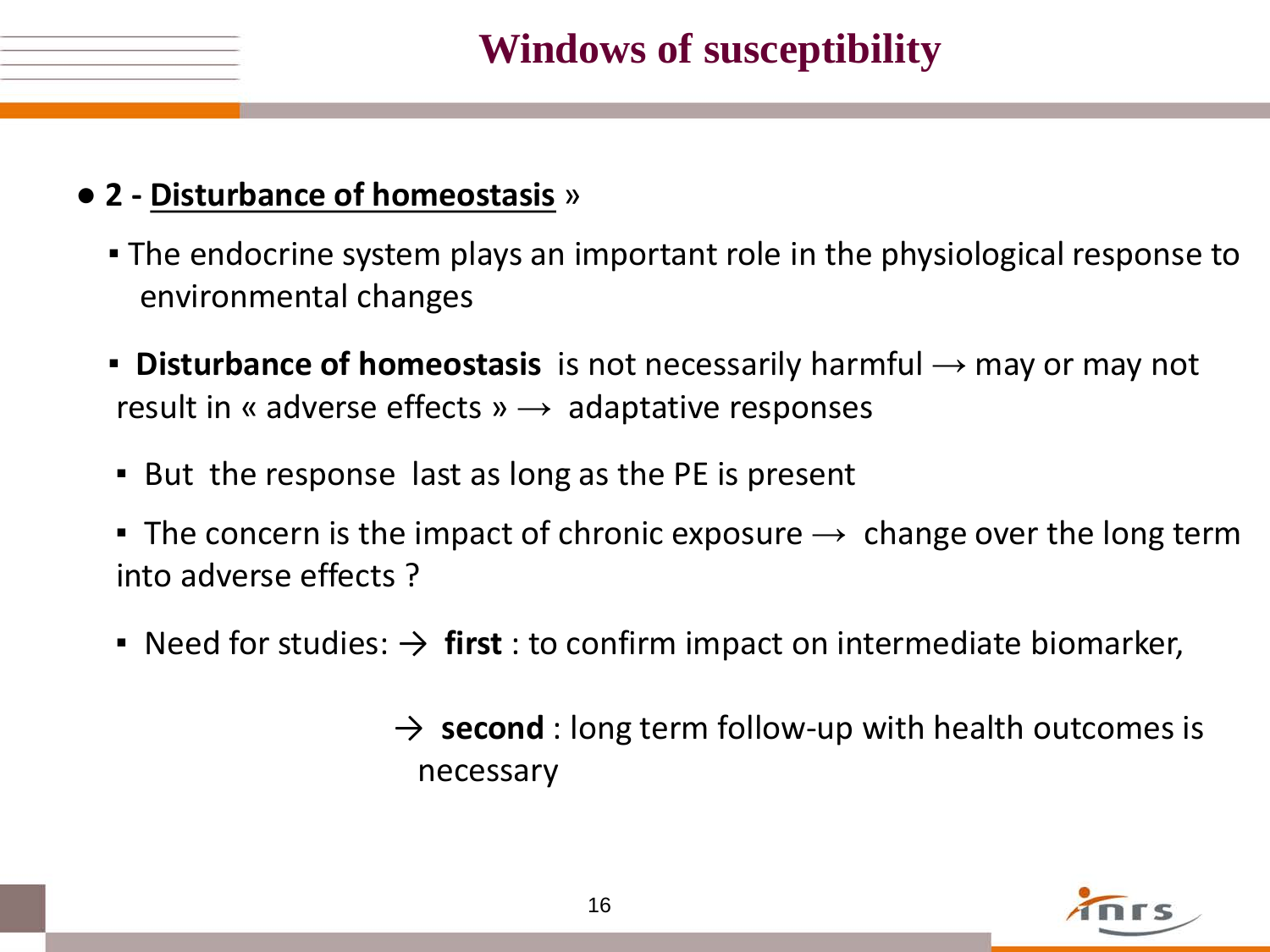

#### ● **2 - Disturbance of homeostasis** »

- **The endocrine system plays an important role in the physiological response to** environmental changes
- **Disturbance of homeostasis** is not necessarily harmful → may or may not result in « adverse effects »  $\rightarrow$  adaptative responses
- But the response last as long as the PE is present
- **•** The concern is the impact of chronic exposure  $\rightarrow$  change over the long term into adverse effects ?
- **•** Need for studies:  $\rightarrow$  first : to confirm impact on intermediate biomarker,
	- $\rightarrow$  **second** : long term follow-up with health outcomes is necessary

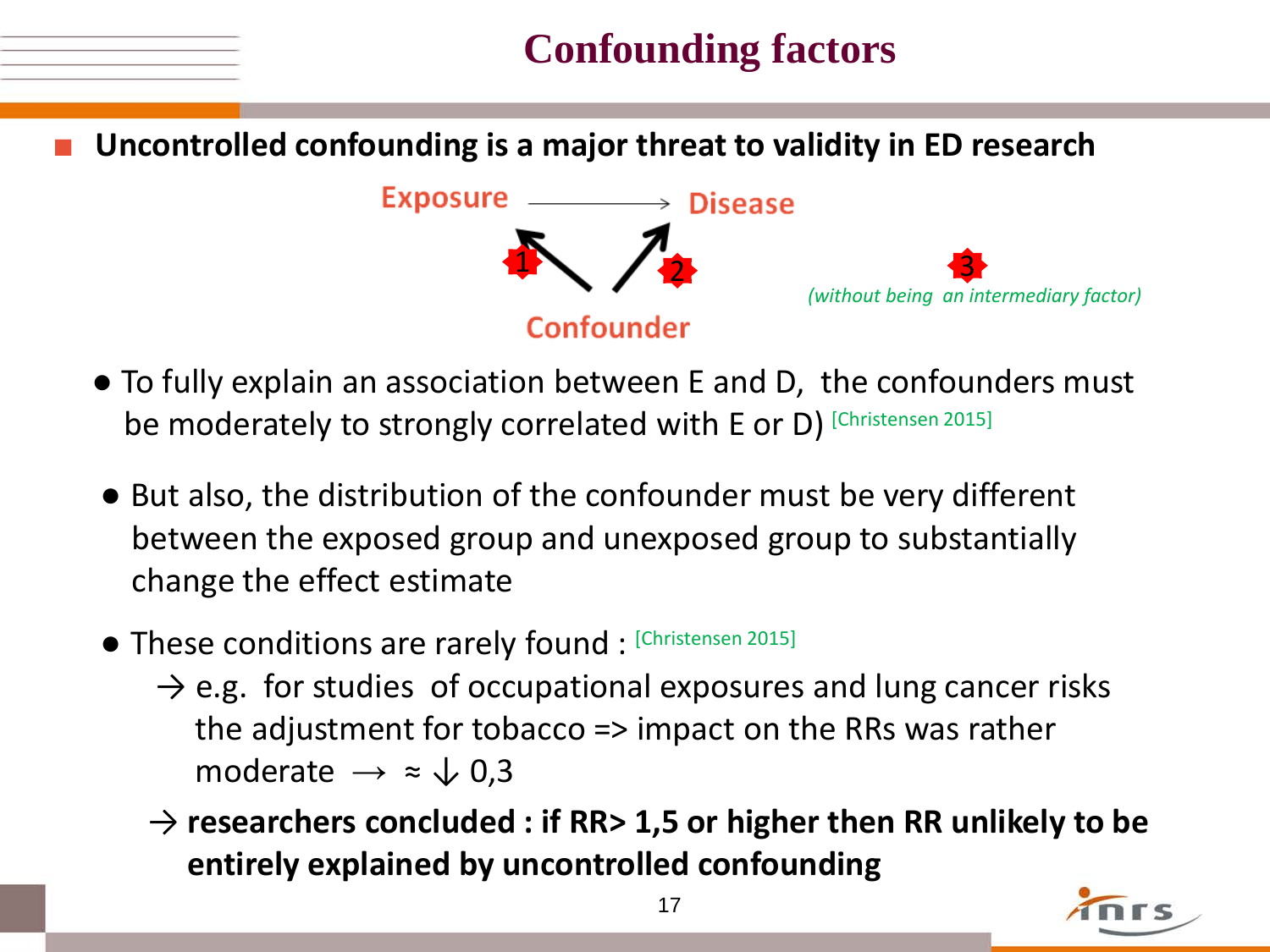## **Confounding factors**

**Uncontrolled confounding is a major threat to validity in ED research** 



- To fully explain an association between E and D, the confounders must be moderately to strongly correlated with E or D) [Christensen 2015]
- But also, the distribution of the confounder must be very different between the exposed group and unexposed group to substantially change the effect estimate
- These conditions are rarely found : [Christensen 2015]
	- $\rightarrow$  e.g. for studies of occupational exposures and lung cancer risks the adjustment for tobacco => impact on the RRs was rather moderate  $\rightarrow \approx \sqrt{0.3}$
	- → **researchers concluded : if RR> 1,5 or higher then RR unlikely to be entirely explained by uncontrolled confounding**

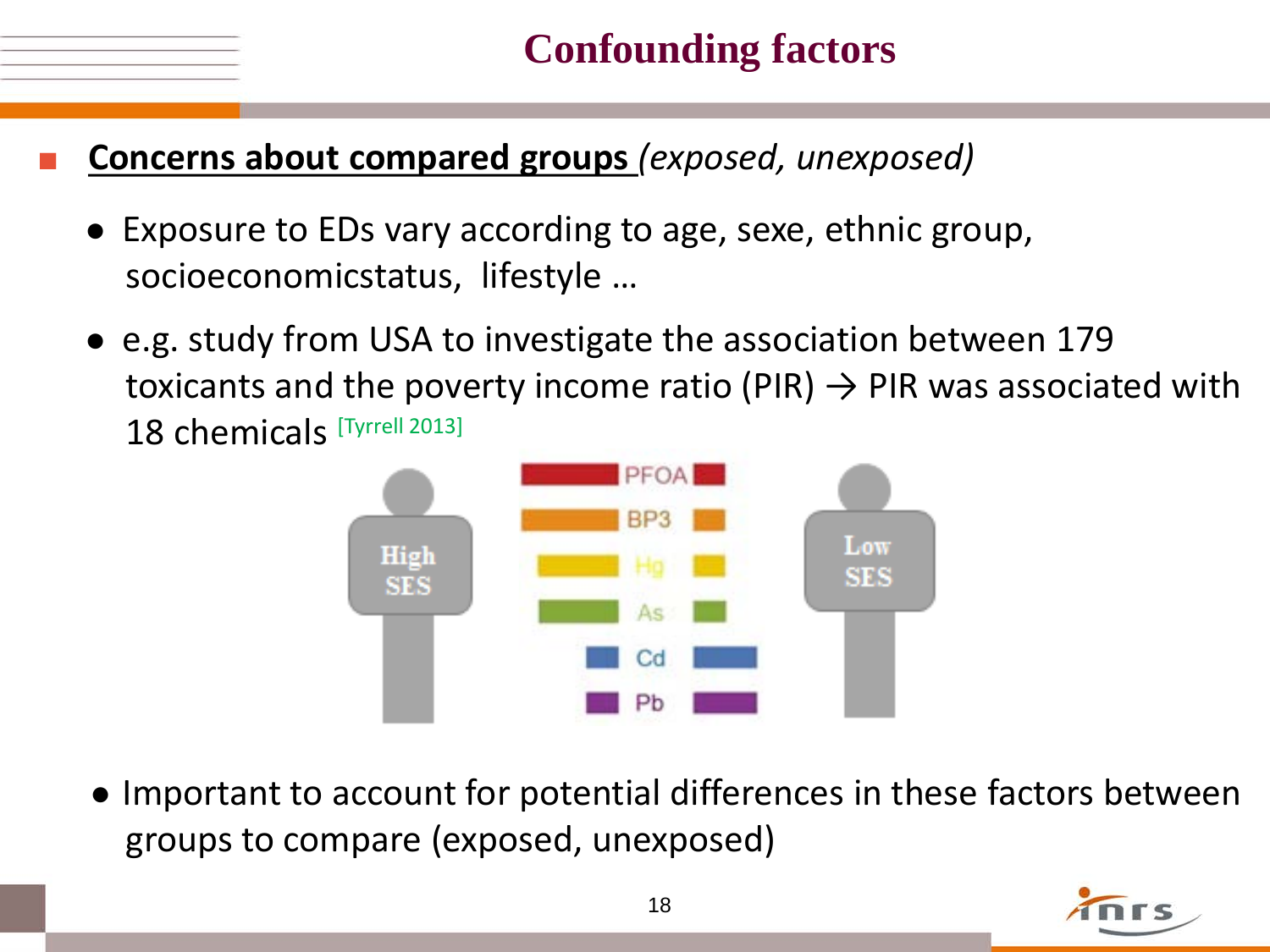

#### **Concerns about compared groups** (exposed, unexposed)

- Exposure to EDs vary according to age, sexe, ethnic group, socioeconomicstatus, lifestyle …
- e.g. study from USA to investigate the association between 179 toxicants and the poverty income ratio (PIR)  $\rightarrow$  PIR was associated with 18 chemicals [Tyrrell 2013]



 ● Important to account for potential differences in these factors between groups to compare (exposed, unexposed)

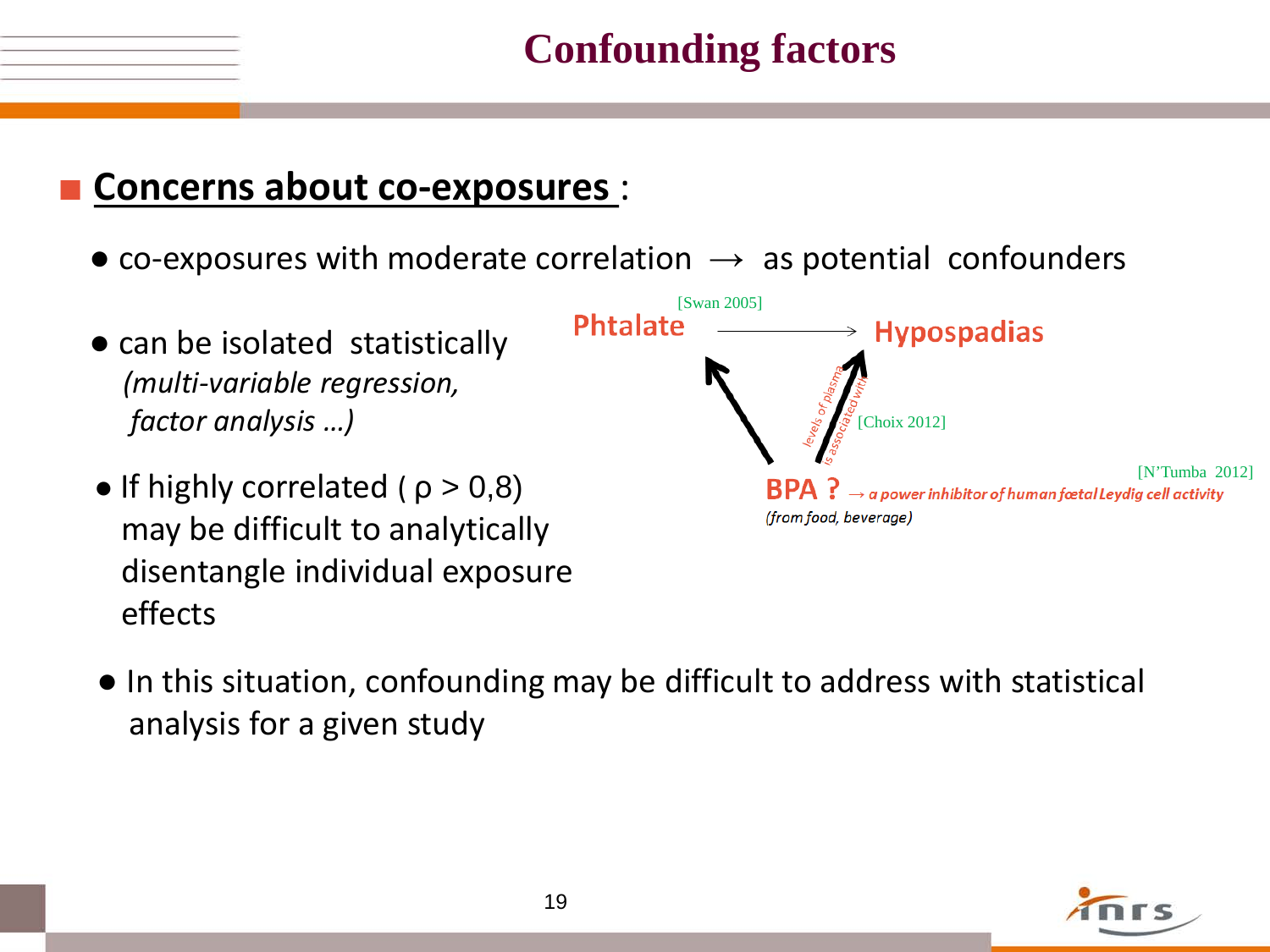## **Confounding factors**

#### ■ **Concerns about co-exposures** :

- co-exposures with moderate correlation  $\rightarrow$  as potential confounders
- $[Swan 2005]$ <br>**Phtalate Hypospadias** • can be isolated statistically  *(multi-variable regression, factor analysis …)* [Choix 2012]
	- If highly correlated ( $p > 0.8$ ) may be difficult to analytically disentangle individual exposure effects



 ● In this situation, confounding may be difficult to address with statistical analysis for a given study

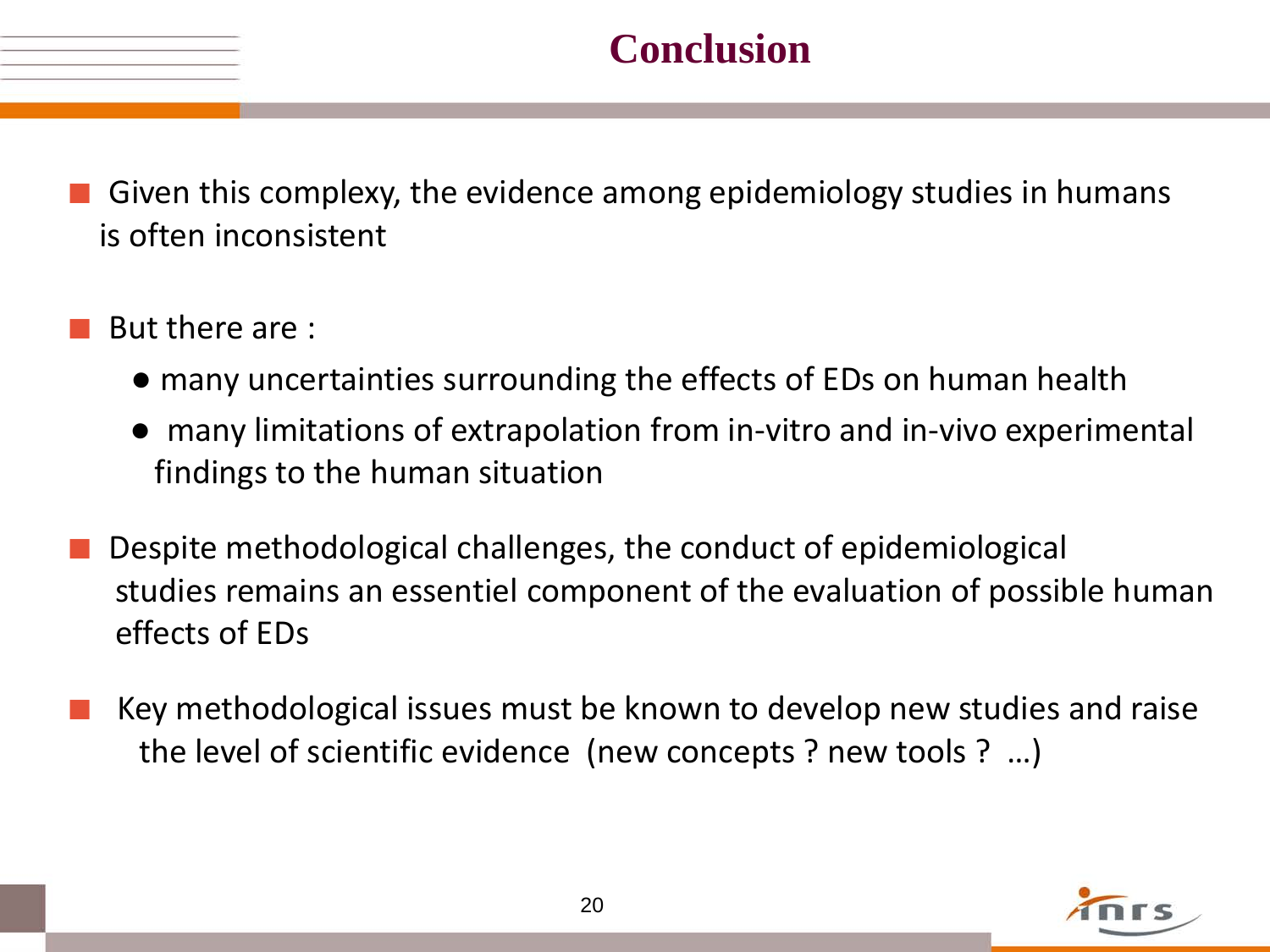

- Given this complexy, the evidence among epidemiology studies in humans is often inconsistent
- But there are :
	- many uncertainties surrounding the effects of EDs on human health
	- many limitations of extrapolation from in-vitro and in-vivo experimental findings to the human situation
- Despite methodological challenges, the conduct of epidemiological studies remains an essentiel component of the evaluation of possible human effects of EDs
- Key methodological issues must be known to develop new studies and raise the level of scientific evidence (new concepts ? new tools ? …)